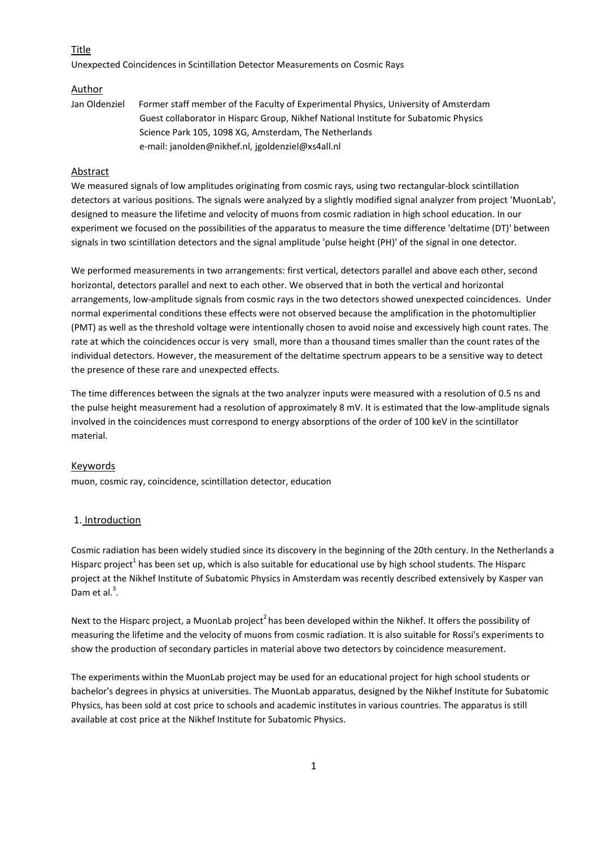### Title

Unexpected Coincidences in Scintillation Detector Measurements on Cosmic Rays

#### Author

Jan Oldenziel Former staff member of the Faculty of Experimental Physics, University of Amsterdam Guest collaborator in Hisparc Group, Nikhef National Institute for Subatomic Physics Science Park 105, 1098 XG, Amsterdam, The Netherlands e-mail: janolden@nikhef.nl, jgoldenziel@xs4all.nl

## Abstract

We measured signals of low amplitudes originating from cosmic rays, using two rectangular-block scintillation detectors at various positions. The signals were analyzed by a slightly modified signal analyzer from project 'MuonLab', designed to measure the lifetime and velocity of muons from cosmic radiation in high school education. In our experiment we focused on the possibilities of the apparatus to measure the time difference 'deltatime (DT)' between signals in two scintillation detectors and the signal amplitude 'pulse height (PH)' of the signal in one detector.

We performed measurements in two arrangements: first vertical, detectors parallel and above each other, second horizontal, detectors parallel and next to each other. We observed that in both the vertical and horizontal arrangements, low-amplitude signals from cosmic rays in the two detectors showed unexpected coincidences. Under normal experimental conditions these effects were not observed because the amplification in the photomultiplier (PMT) as well as the threshold voltage were intentionally chosen to avoid noise and excessively high count rates. The rate at which the coincidences occur is very small, more than a thousand times smaller than the count rates of the individual detectors. However, the measurement of the deltatime spectrum appears to be a sensitive way to detect the presence of these rare and unexpected effects.

The time differences between the signals at the two analyzer inputs were measured with a resolution of 0.5 ns and the pulse height measurement had a resolution of approximately 8 mV. It is estimated that the low-amplitude signals involved in the coincidences must correspond to energy absorptions of the order of 100 keV in the scintillator material.

#### **Keywords**

muon, cosmic ray, coincidence, scintillation detector, education

#### 1. Introduction

Cosmic radiation has been widely studied since its discovery in the beginning of the 20th century. In the Netherlands a Hisparc project<sup>1</sup> has been set up, which is also suitable for educational use by high school students. The Hisparc project at the Nikhef Institute of Subatomic Physics in Amsterdam was recently described extensively by Kasper van Dam et al. $3$ .

Next to the Hisparc project, a MuonLab project<sup>2</sup> has been developed within the Nikhef. It offers the possibility of measuring the lifetime and the velocity of muons from cosmic radiation. It is also suitable for Rossi's experiments to show the production of secondary particles in material above two detectors by coincidence measurement.

The experiments within the MuonLab project may be used for an educational project for high school students or bachelor's degrees in physics at universities. The MuonLab apparatus, designed by the Nikhef Institute for Subatomic Physics, has been sold at cost price to schools and academic institutes in various countries. The apparatus is still available at cost price at the Nikhef Institute for Subatomic Physics.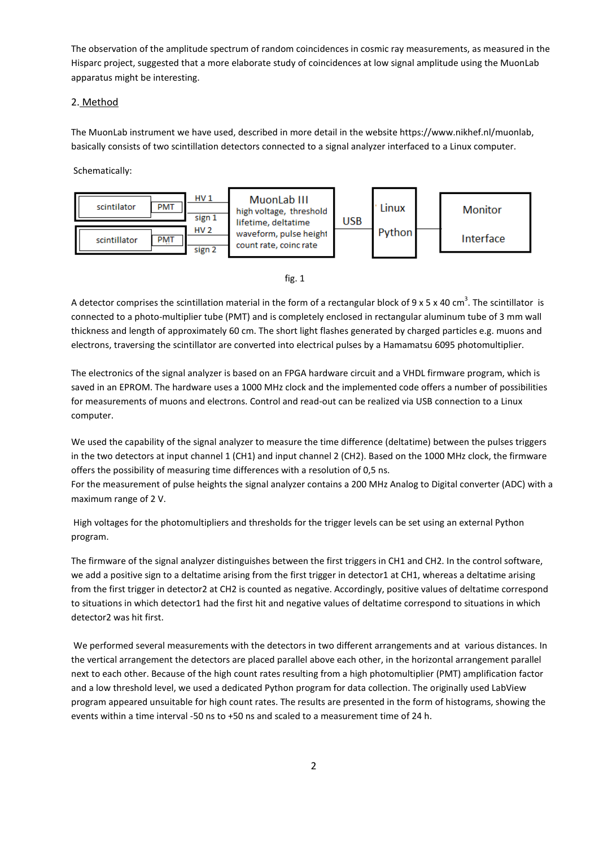The observation of the amplitude spectrum of random coincidences in cosmic ray measurements, as measured in the Hisparc project, suggested that a more elaborate study of coincidences at low signal amplitude using the MuonLab apparatus might be interesting.

## 2. Method

The MuonLab instrument we have used, described in more detail in the website https://www.nikhef.nl/muonlab, basically consists of two scintillation detectors connected to a signal analyzer interfaced to a Linux computer.

Schematically:



fig. 1

A detector comprises the scintillation material in the form of a rectangular block of 9 x 5 x 40 cm<sup>3</sup>. The scintillator is connected to a photo-multiplier tube (PMT) and is completely enclosed in rectangular aluminum tube of 3 mm wall thickness and length of approximately 60 cm. The short light flashes generated by charged particles e.g. muons and electrons, traversing the scintillator are converted into electrical pulses by a Hamamatsu 6095 photomultiplier.

The electronics of the signal analyzer is based on an FPGA hardware circuit and a VHDL firmware program, which is saved in an EPROM. The hardware uses a 1000 MHz clock and the implemented code offers a number of possibilities for measurements of muons and electrons. Control and read-out can be realized via USB connection to a Linux computer.

We used the capability of the signal analyzer to measure the time difference (deltatime) between the pulses triggers in the two detectors at input channel 1 (CH1) and input channel 2 (CH2). Based on the 1000 MHz clock, the firmware offers the possibility of measuring time differences with a resolution of 0,5 ns.

For the measurement of pulse heights the signal analyzer contains a 200 MHz Analog to Digital converter (ADC) with a maximum range of 2 V.

High voltages for the photomultipliers and thresholds for the trigger levels can be set using an external Python program.

The firmware of the signal analyzer distinguishes between the first triggers in CH1 and CH2. In the control software, we add a positive sign to a deltatime arising from the first trigger in detector1 at CH1, whereas a deltatime arising from the first trigger in detector2 at CH2 is counted as negative. Accordingly, positive values of deltatime correspond to situations in which detector1 had the first hit and negative values of deltatime correspond to situations in which detector2 was hit first.

We performed several measurements with the detectors in two different arrangements and at various distances. In the vertical arrangement the detectors are placed parallel above each other, in the horizontal arrangement parallel next to each other. Because of the high count rates resulting from a high photomultiplier (PMT) amplification factor and a low threshold level, we used a dedicated Python program for data collection. The originally used LabView program appeared unsuitable for high count rates. The results are presented in the form of histograms, showing the events within a time interval -50 ns to +50 ns and scaled to a measurement time of 24 h.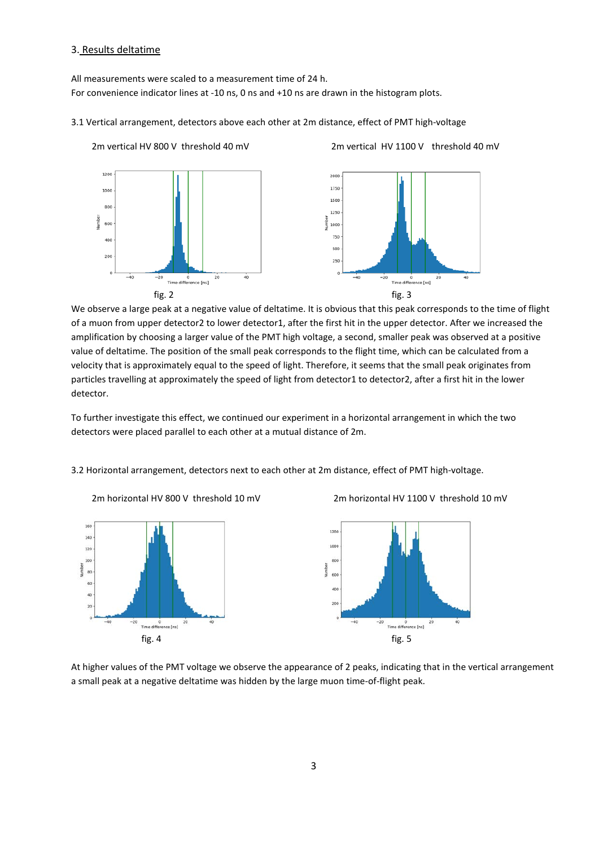## 3. Results deltatime

All measurements were scaled to a measurement time of 24 h. For convenience indicator lines at -10 ns, 0 ns and +10 ns are drawn in the histogram plots.

#### 3.1 Vertical arrangement, detectors above each other at 2m distance, effect of PMT high-voltage



2m vertical HV 800 V threshold 40 mV 2m vertical HV 1100 V threshold 40 mV

We observe a large peak at a negative value of deltatime. It is obvious that this peak corresponds to the time of flight of a muon from upper detector2 to lower detector1, after the first hit in the upper detector. After we increased the amplification by choosing a larger value of the PMT high voltage, a second, smaller peak was observed at a positive value of deltatime. The position of the small peak corresponds to the flight time, which can be calculated from a velocity that is approximately equal to the speed of light. Therefore, it seems that the small peak originates from particles travelling at approximately the speed of light from detector1 to detector2, after a first hit in the lower detector.

To further investigate this effect, we continued our experiment in a horizontal arrangement in which the two detectors were placed parallel to each other at a mutual distance of 2m.

3.2 Horizontal arrangement, detectors next to each other at 2m distance, effect of PMT high-voltage.



 $160$  $140$  $120$  $\overline{\phantom{a}}$  $\overline{a}$ ..  $\ddot{a}$  $-20$  $rac{1}{\sqrt{1}}$ <br>Time differer ce [ns]  $f$ ig. 4 fig. 5



At higher values of the PMT voltage we observe the appearance of 2 peaks, indicating that in the vertical arrangement a small peak at a negative deltatime was hidden by the large muon time-of-flight peak.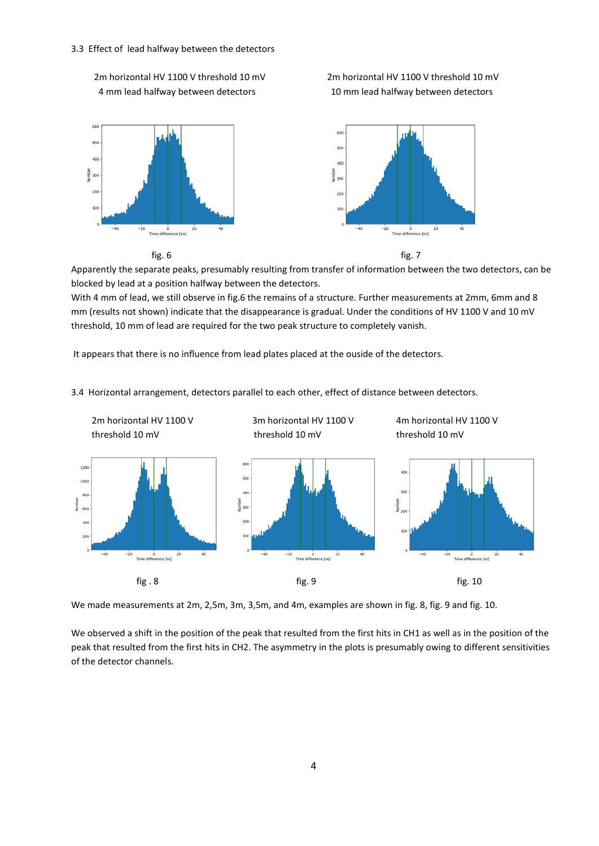#### 3.3 Effect of lead halfway between the detectors







Apparently the separate peaks, presumably resulting from transfer of information between the two detectors, can be blocked by lead at a position halfway between the detectors.

With 4 mm of lead, we still observe in fig.6 the remains of a structure. Further measurements at 2mm, 6mm and 8 mm (results not shown) indicate that the disappearance is gradual. Under the conditions of HV 1100 V and 10 mV threshold, 10 mm of lead are required for the two peak structure to completely vanish.

It appears that there is no influence from lead plates placed at the ouside of the detectors.

3.4 Horizontal arrangement, detectors parallel to each other, effect of distance between detectors.



We made measurements at 2m, 2,5m, 3m, 3,5m, and 4m, examples are shown in fig. 8, fig. 9 and fig. 10.

We observed a shift in the position of the peak that resulted from the first hits in CH1 as well as in the position of the peak that resulted from the first hits in CH2. The asymmetry in the plots is presumably owing to different sensitivities of the detector channels.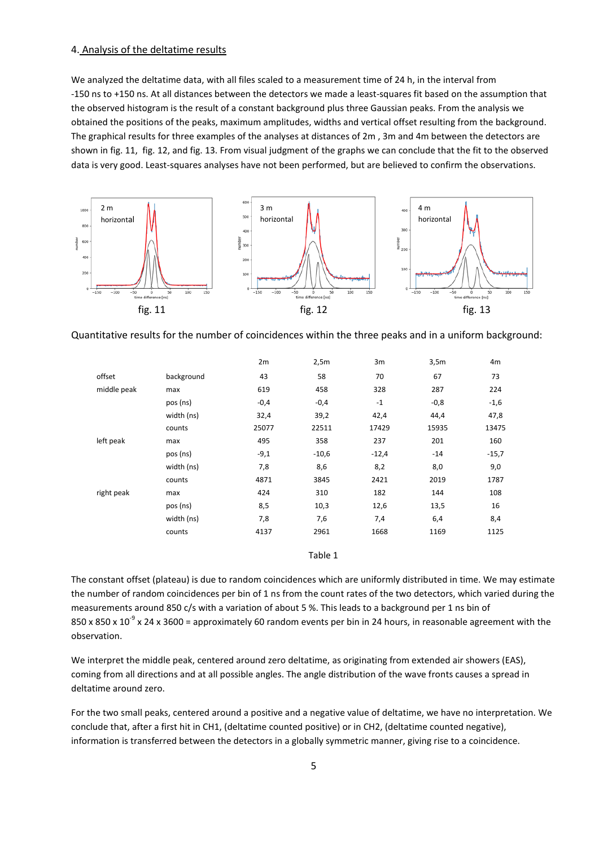#### 4. Analysis of the deltatime results

We analyzed the deltatime data, with all files scaled to a measurement time of 24 h, in the interval from -150 ns to +150 ns. At all distances between the detectors we made a least-squares fit based on the assumption that the observed histogram is the result of a constant background plus three Gaussian peaks. From the analysis we obtained the positions of the peaks, maximum amplitudes, widths and vertical offset resulting from the background. The graphical results for three examples of the analyses at distances of 2m , 3m and 4m between the detectors are shown in fig. 11, fig. 12, and fig. 13. From visual judgment of the graphs we can conclude that the fit to the observed data is very good. Least-squares analyses have not been performed, but are believed to confirm the observations.



Quantitative results for the number of coincidences within the three peaks and in a uniform background:

|             |            | 2m     | 2,5m    | 3m      | 3,5m   | 4m      |
|-------------|------------|--------|---------|---------|--------|---------|
| offset      | background | 43     | 58      | 70      | 67     | 73      |
| middle peak | max        | 619    | 458     | 328     | 287    | 224     |
|             | pos (ns)   | $-0,4$ | $-0,4$  | $-1$    | $-0,8$ | $-1,6$  |
|             | width (ns) | 32,4   | 39,2    | 42,4    | 44,4   | 47,8    |
|             | counts     | 25077  | 22511   | 17429   | 15935  | 13475   |
| left peak   | max        | 495    | 358     | 237     | 201    | 160     |
|             | pos (ns)   | $-9,1$ | $-10,6$ | $-12,4$ | $-14$  | $-15,7$ |
|             | width (ns) | 7,8    | 8,6     | 8,2     | 8,0    | 9,0     |
|             | counts     | 4871   | 3845    | 2421    | 2019   | 1787    |
| right peak  | max        | 424    | 310     | 182     | 144    | 108     |
|             | pos (ns)   | 8,5    | 10,3    | 12,6    | 13,5   | 16      |
|             | width (ns) | 7,8    | 7,6     | 7,4     | 6,4    | 8,4     |
|             | counts     | 4137   | 2961    | 1668    | 1169   | 1125    |
|             |            |        |         |         |        |         |

Table 1

The constant offset (plateau) is due to random coincidences which are uniformly distributed in time. We may estimate the number of random coincidences per bin of 1 ns from the count rates of the two detectors, which varied during the measurements around 850 c/s with a variation of about 5 %. This leads to a background per 1 ns bin of 850 x 850 x 10<sup>-9</sup> x 24 x 3600 = approximately 60 random events per bin in 24 hours, in reasonable agreement with the observation.

We interpret the middle peak, centered around zero deltatime, as originating from extended air showers (EAS), coming from all directions and at all possible angles. The angle distribution of the wave fronts causes a spread in deltatime around zero.

For the two small peaks, centered around a positive and a negative value of deltatime, we have no interpretation. We conclude that, after a first hit in CH1, (deltatime counted positive) or in CH2, (deltatime counted negative), information is transferred between the detectors in a globally symmetric manner, giving rise to a coincidence.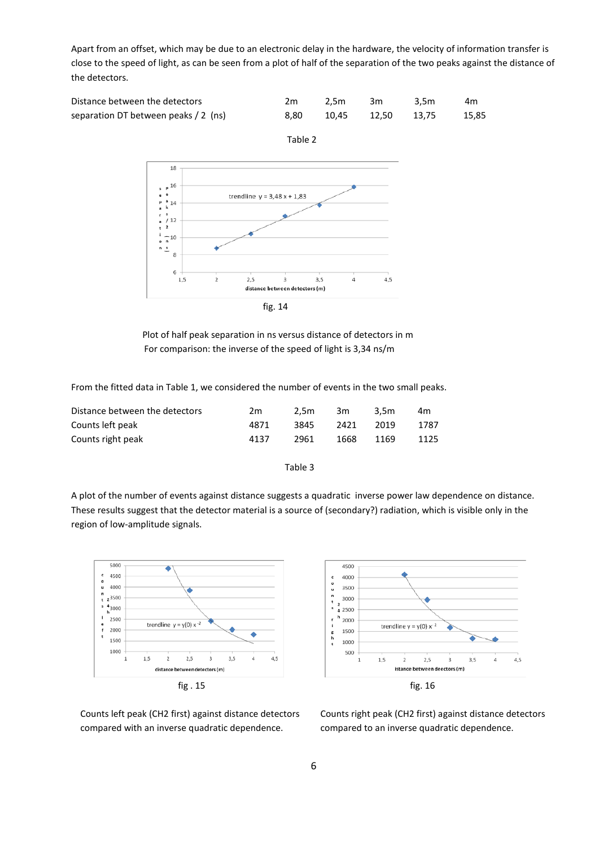Apart from an offset, which may be due to an electronic delay in the hardware, the velocity of information transfer is close to the speed of light, as can be seen from a plot of half of the separation of the two peaks against the distance of the detectors.

| Distance between the detectors       | 2m.  | 2.5m 3m           | 3.5m         | 4m |
|--------------------------------------|------|-------------------|--------------|----|
| separation DT between peaks / 2 (ns) | 8.80 | 10.45 12.50 13.75 | $\sim$ 15,85 |    |



Plot of half peak separation in ns versus distance of detectors in m For comparison: the inverse of the speed of light is 3,34 ns/m

From the fitted data in Table 1, we considered the number of events in the two small peaks.

| Distance between the detectors | 2m   | 2.5m | 3m   | 3.5m | 4m   |
|--------------------------------|------|------|------|------|------|
| Counts left peak               | 4871 | 3845 | 2421 | 2019 | 1787 |
| Counts right peak              | 4137 | 2961 | 1668 | 1169 | 1125 |

#### Table 3

A plot of the number of events against distance suggests a quadratic inverse power law dependence on distance. These results suggest that the detector material is a source of (secondary?) radiation, which is visible only in the region of low-amplitude signals.





compared with an inverse quadratic dependence. compared to an inverse quadratic dependence.

Counts left peak (CH2 first) against distance detectors Counts right peak (CH2 first) against distance detectors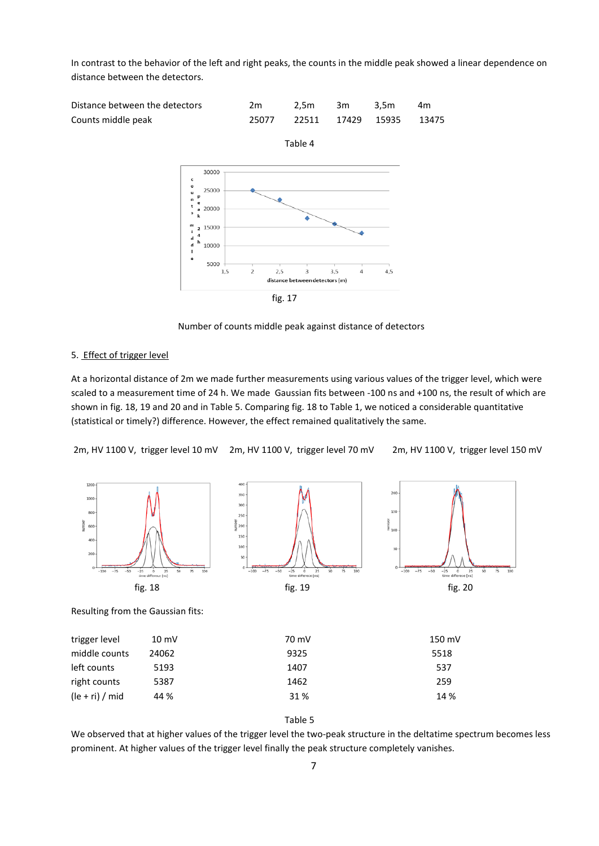In contrast to the behavior of the left and right peaks, the counts in the middle peak showed a linear dependence on distance between the detectors.



 $\overline{a}$ 

5000

 $1,5$ 

distance bety fig. 17

 $2,5$ 

Number of counts middle peak against distance of detectors

 $\mathsf 3$ 

 $3,5$ 

en detectors (m)

 $\overline{4}$ 

 $4,5$ 

#### 5. Effect of trigger level

At a horizontal distance of 2m we made further measurements using various values of the trigger level, which were scaled to a measurement time of 24 h. We made Gaussian fits between -100 ns and +100 ns, the result of which are shown in fig. 18, 19 and 20 and in Table 5. Comparing fig. 18 to Table 1, we noticed a considerable quantitative (statistical or timely?) difference. However, the effect remained qualitatively the same.

2m, HV 1100 V, trigger level 10 mV 2m, HV 1100 V, trigger level 70 mV 2m, HV 1100 V, trigger level 150 mV



#### Table 5

(le + ri) / mid 44 % 31 % 14 %

We observed that at higher values of the trigger level the two-peak structure in the deltatime spectrum becomes less prominent. At higher values of the trigger level finally the peak structure completely vanishes.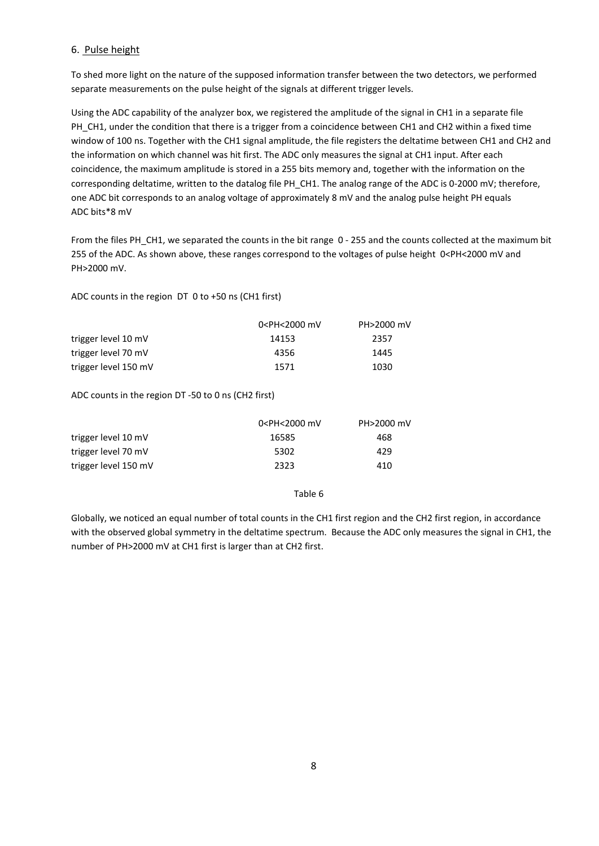# 6. Pulse height

To shed more light on the nature of the supposed information transfer between the two detectors, we performed separate measurements on the pulse height of the signals at different trigger levels.

Using the ADC capability of the analyzer box, we registered the amplitude of the signal in CH1 in a separate file PH\_CH1, under the condition that there is a trigger from a coincidence between CH1 and CH2 within a fixed time window of 100 ns. Together with the CH1 signal amplitude, the file registers the deltatime between CH1 and CH2 and the information on which channel was hit first. The ADC only measures the signal at CH1 input. After each coincidence, the maximum amplitude is stored in a 255 bits memory and, together with the information on the corresponding deltatime, written to the datalog file PH\_CH1. The analog range of the ADC is 0-2000 mV; therefore, one ADC bit corresponds to an analog voltage of approximately 8 mV and the analog pulse height PH equals ADC bits\*8 mV

From the files PH\_CH1, we separated the counts in the bit range 0 - 255 and the counts collected at the maximum bit 255 of the ADC. As shown above, these ranges correspond to the voltages of pulse height 0<PH<2000 mV and PH>2000 mV.

ADC counts in the region DT 0 to +50 ns (CH1 first)

|                      | 0 <ph<2000 mv<="" th=""><th colspan="3">PH&gt;2000 mV</th></ph<2000> | PH>2000 mV |  |  |
|----------------------|----------------------------------------------------------------------|------------|--|--|
| trigger level 10 mV  | 14153                                                                | 2357       |  |  |
| trigger level 70 mV  | 4356                                                                 | 1445       |  |  |
| trigger level 150 mV | 1571                                                                 | 1030       |  |  |

ADC counts in the region DT -50 to 0 ns (CH2 first)

|                      | 0 <ph<2000 mv<="" th=""><th>PH&gt;2000 mV</th></ph<2000> | PH>2000 mV |
|----------------------|----------------------------------------------------------|------------|
| trigger level 10 mV  | 16585                                                    | 468        |
| trigger level 70 mV  | 5302                                                     | 429        |
| trigger level 150 mV | 2323                                                     | 410        |

## Table 6

Globally, we noticed an equal number of total counts in the CH1 first region and the CH2 first region, in accordance with the observed global symmetry in the deltatime spectrum. Because the ADC only measures the signal in CH1, the number of PH>2000 mV at CH1 first is larger than at CH2 first.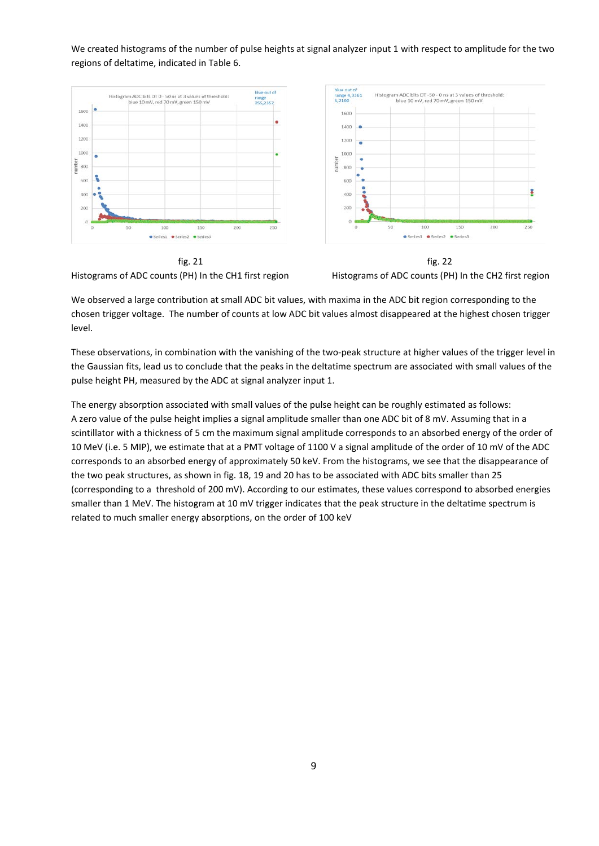We created histograms of the number of pulse heights at signal analyzer input 1 with respect to amplitude for the two regions of deltatime, indicated in Table 6.





We observed a large contribution at small ADC bit values, with maxima in the ADC bit region corresponding to the chosen trigger voltage. The number of counts at low ADC bit values almost disappeared at the highest chosen trigger level.

These observations, in combination with the vanishing of the two-peak structure at higher values of the trigger level in the Gaussian fits, lead us to conclude that the peaks in the deltatime spectrum are associated with small values of the pulse height PH, measured by the ADC at signal analyzer input 1.

The energy absorption associated with small values of the pulse height can be roughly estimated as follows: A zero value of the pulse height implies a signal amplitude smaller than one ADC bit of 8 mV. Assuming that in a scintillator with a thickness of 5 cm the maximum signal amplitude corresponds to an absorbed energy of the order of 10 MeV (i.e. 5 MIP), we estimate that at a PMT voltage of 1100 V a signal amplitude of the order of 10 mV of the ADC corresponds to an absorbed energy of approximately 50 keV. From the histograms, we see that the disappearance of the two peak structures, as shown in fig. 18, 19 and 20 has to be associated with ADC bits smaller than 25 (corresponding to a threshold of 200 mV). According to our estimates, these values correspond to absorbed energies smaller than 1 MeV. The histogram at 10 mV trigger indicates that the peak structure in the deltatime spectrum is related to much smaller energy absorptions, on the order of 100 keV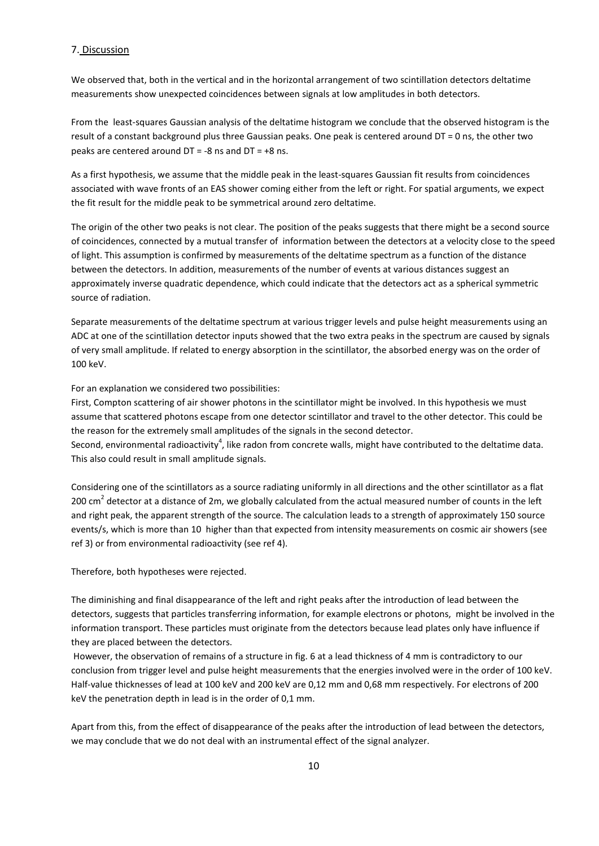## 7. Discussion

We observed that, both in the vertical and in the horizontal arrangement of two scintillation detectors deltatime measurements show unexpected coincidences between signals at low amplitudes in both detectors.

From the least-squares Gaussian analysis of the deltatime histogram we conclude that the observed histogram is the result of a constant background plus three Gaussian peaks. One peak is centered around DT = 0 ns, the other two peaks are centered around  $DT = -8$  ns and  $DT = +8$  ns.

As a first hypothesis, we assume that the middle peak in the least-squares Gaussian fit results from coincidences associated with wave fronts of an EAS shower coming either from the left or right. For spatial arguments, we expect the fit result for the middle peak to be symmetrical around zero deltatime.

The origin of the other two peaks is not clear. The position of the peaks suggests that there might be a second source of coincidences, connected by a mutual transfer of information between the detectors at a velocity close to the speed of light. This assumption is confirmed by measurements of the deltatime spectrum as a function of the distance between the detectors. In addition, measurements of the number of events at various distances suggest an approximately inverse quadratic dependence, which could indicate that the detectors act as a spherical symmetric source of radiation.

Separate measurements of the deltatime spectrum at various trigger levels and pulse height measurements using an ADC at one of the scintillation detector inputs showed that the two extra peaks in the spectrum are caused by signals of very small amplitude. If related to energy absorption in the scintillator, the absorbed energy was on the order of 100 keV.

For an explanation we considered two possibilities:

First, Compton scattering of air shower photons in the scintillator might be involved. In this hypothesis we must assume that scattered photons escape from one detector scintillator and travel to the other detector. This could be the reason for the extremely small amplitudes of the signals in the second detector.

Second, environmental radioactivity<sup>4</sup>, like radon from concrete walls, might have contributed to the deltatime data. This also could result in small amplitude signals.

Considering one of the scintillators as a source radiating uniformly in all directions and the other scintillator as a flat 200 cm<sup>2</sup> detector at a distance of 2m, we globally calculated from the actual measured number of counts in the left and right peak, the apparent strength of the source. The calculation leads to a strength of approximately 150 source events/s, which is more than 10 higher than that expected from intensity measurements on cosmic air showers (see ref 3) or from environmental radioactivity (see ref 4).

Therefore, both hypotheses were rejected.

The diminishing and final disappearance of the left and right peaks after the introduction of lead between the detectors, suggests that particles transferring information, for example electrons or photons, might be involved in the information transport. These particles must originate from the detectors because lead plates only have influence if they are placed between the detectors.

However, the observation of remains of a structure in fig. 6 at a lead thickness of 4 mm is contradictory to our conclusion from trigger level and pulse height measurements that the energies involved were in the order of 100 keV. Half-value thicknesses of lead at 100 keV and 200 keV are 0,12 mm and 0,68 mm respectively. For electrons of 200 keV the penetration depth in lead is in the order of 0,1 mm.

Apart from this, from the effect of disappearance of the peaks after the introduction of lead between the detectors, we may conclude that we do not deal with an instrumental effect of the signal analyzer.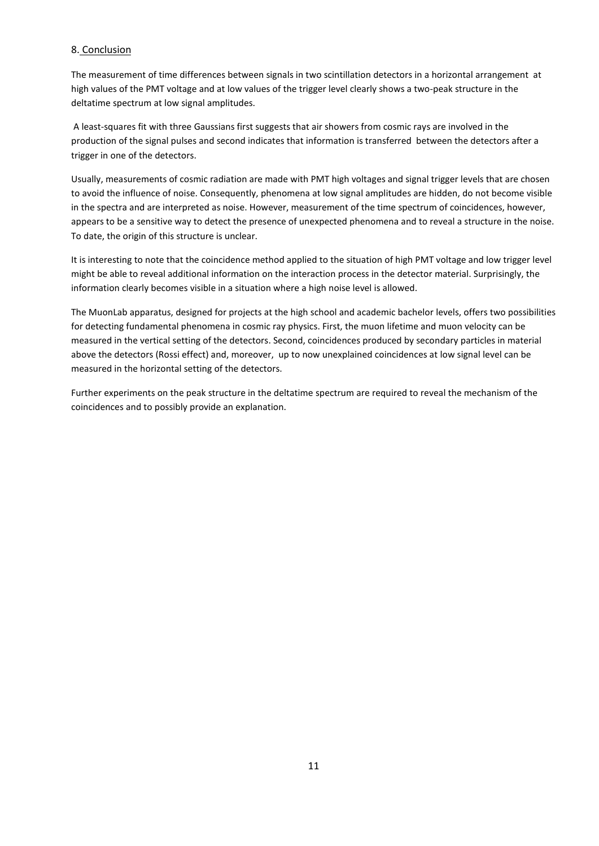# 8. Conclusion

The measurement of time differences between signals in two scintillation detectors in a horizontal arrangement at high values of the PMT voltage and at low values of the trigger level clearly shows a two-peak structure in the deltatime spectrum at low signal amplitudes.

A least-squares fit with three Gaussians first suggests that air showers from cosmic rays are involved in the production of the signal pulses and second indicates that information is transferred between the detectors after a trigger in one of the detectors.

Usually, measurements of cosmic radiation are made with PMT high voltages and signal trigger levels that are chosen to avoid the influence of noise. Consequently, phenomena at low signal amplitudes are hidden, do not become visible in the spectra and are interpreted as noise. However, measurement of the time spectrum of coincidences, however, appears to be a sensitive way to detect the presence of unexpected phenomena and to reveal a structure in the noise. To date, the origin of this structure is unclear.

It is interesting to note that the coincidence method applied to the situation of high PMT voltage and low trigger level might be able to reveal additional information on the interaction process in the detector material. Surprisingly, the information clearly becomes visible in a situation where a high noise level is allowed.

The MuonLab apparatus, designed for projects at the high school and academic bachelor levels, offers two possibilities for detecting fundamental phenomena in cosmic ray physics. First, the muon lifetime and muon velocity can be measured in the vertical setting of the detectors. Second, coincidences produced by secondary particles in material above the detectors (Rossi effect) and, moreover, up to now unexplained coincidences at low signal level can be measured in the horizontal setting of the detectors.

Further experiments on the peak structure in the deltatime spectrum are required to reveal the mechanism of the coincidences and to possibly provide an explanation.